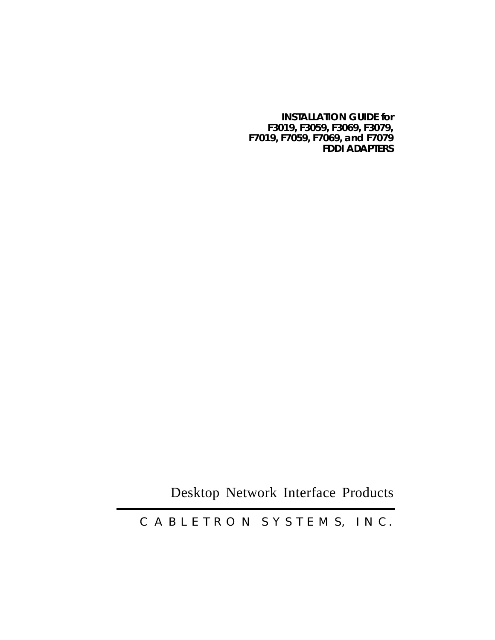### **INSTALLATION GUIDE for F3019, F3059, F3069, F3079, F7019, F7059, F7069, and F7079 FDDI ADAPTERS**

Desktop Network Interface Products

C A B L E T R O N S Y S T E M S, I N C.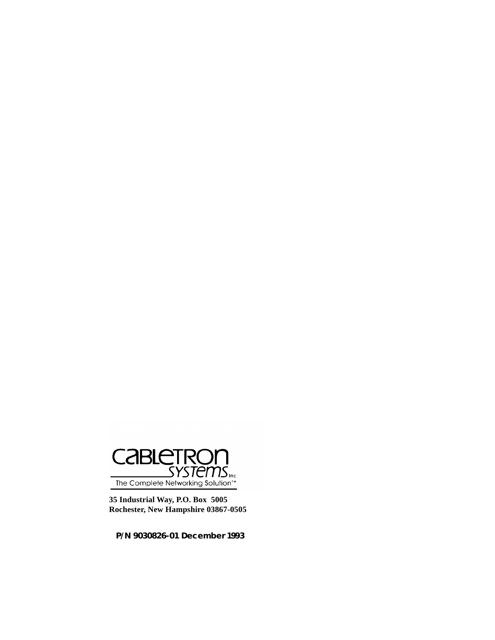

**35 Industrial Way, P.O. Box 5005 Rochester, New Hampshire 03867-0505**

**P/N 9030826-01 December 1993**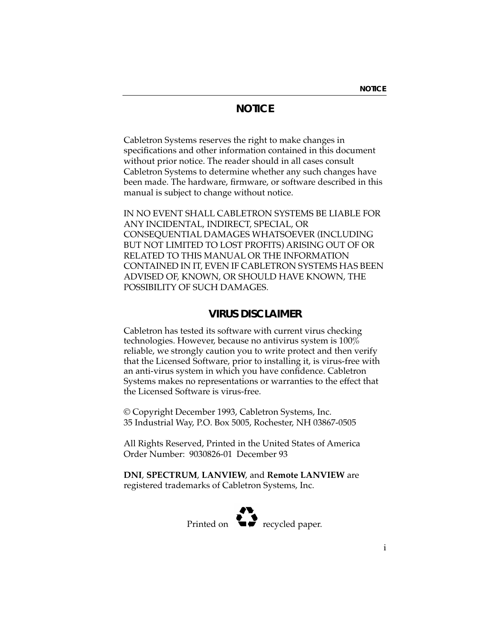# **NOTICE**

Cabletron Systems reserves the right to make changes in specifications and other information contained in this document without prior notice. The reader should in all cases consult Cabletron Systems to determine whether any such changes have been made. The hardware, firmware, or software described in this manual is subject to change without notice.

IN NO EVENT SHALL CABLETRON SYSTEMS BE LIABLE FOR ANY INCIDENTAL, INDIRECT, SPECIAL, OR CONSEQUENTIAL DAMAGES WHATSOEVER (INCLUDING BUT NOT LIMITED TO LOST PROFITS) ARISING OUT OF OR RELATED TO THIS MANUAL OR THE INFORMATION CONTAINED IN IT, EVEN IF CABLETRON SYSTEMS HAS BEEN ADVISED OF, KNOWN, OR SHOULD HAVE KNOWN, THE POSSIBILITY OF SUCH DAMAGES.

# **VIRUS DISCLAIMER**

Cabletron has tested its software with current virus checking technologies. However, because no antivirus system is  $100\%$ reliable, we strongly caution you to write protect and then verify that the Licensed Software, prior to installing it, is virus-free with an anti-virus system in which you have confidence. Cabletron Systems makes no representations or warranties to the effect that the Licensed Software is virus-free.

© Copyright December 1993, Cabletron Systems, Inc. 35 Industrial Way, P.O. Box 5005, Rochester, NH 03867-0505

All Rights Reserved, Printed in the United States of America Order Number: 9030826-01 December 93

**DNI**, **SPECTRUM**, **LANVIEW**, and **Remote LANVIEW** are registered trademarks of Cabletron Systems, Inc.

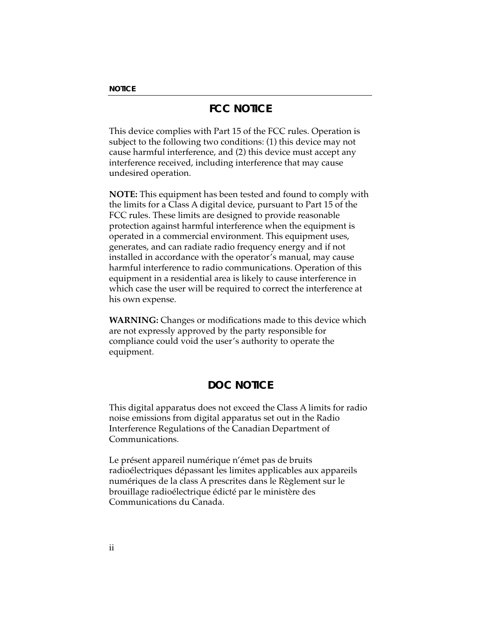# **FCC NOTICE**

This device complies with Part 15 of the FCC rules. Operation is subject to the following two conditions: (1) this device may not cause harmful interference, and (2) this device must accept any interference received, including interference that may cause undesired operation.

**NOTE:** This equipment has been tested and found to comply with the limits for a Class A digital device, pursuant to Part 15 of the FCC rules. These limits are designed to provide reasonable protection against harmful interference when the equipment is operated in a commercial environment. This equipment uses, generates, and can radiate radio frequency energy and if not installed in accordance with the operator's manual, may cause harmful interference to radio communications. Operation of this equipment in a residential area is likely to cause interference in which case the user will be required to correct the interference at his own expense.

**WARNING:** Changes or modifications made to this device which are not expressly approved by the party responsible for compliance could void the user's authority to operate the equipment.

# **DOC NOTICE**

This digital apparatus does not exceed the Class A limits for radio noise emissions from digital apparatus set out in the Radio Interference Regulations of the Canadian Department of Communications.

Le présent appareil numérique n'émet pas de bruits radioélectriques dépassant les limites applicables aux appareils numériques de la class A prescrites dans le Règlement sur le brouillage radioélectrique édicté par le ministère des Communications du Canada.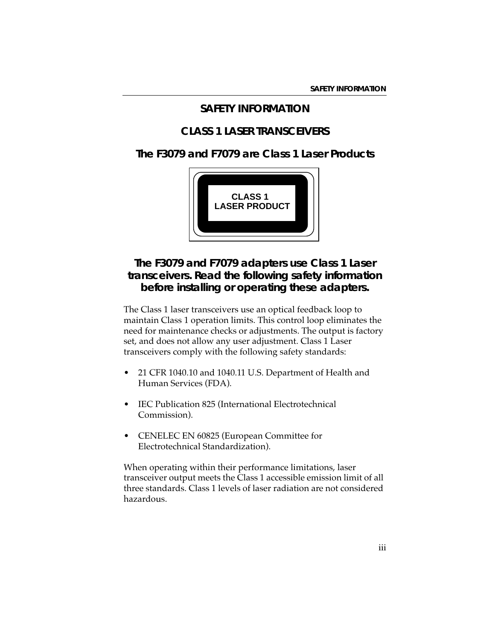## **SAFETY INFORMATION**

# **CLASS 1 LASER TRANSCEIVERS**

## **The F3079 and F7079 are Class 1 Laser Products**



# **The F3079 and F7079 adapters use Class 1 Laser transceivers. Read the following safety information before installing or operating these adapters.**

The Class 1 laser transceivers use an optical feedback loop to maintain Class 1 operation limits. This control loop eliminates the need for maintenance checks or adjustments. The output is factory set, and does not allow any user adjustment. Class 1 Laser transceivers comply with the following safety standards:

- 21 CFR 1040.10 and 1040.11 U.S. Department of Health and Human Services (FDA).
- IEC Publication 825 (International Electrotechnical Commission).
- CENELEC EN 60825 (European Committee for Electrotechnical Standardization).

When operating within their performance limitations, laser transceiver output meets the Class 1 accessible emission limit of all three standards. Class 1 levels of laser radiation are not considered hazardous.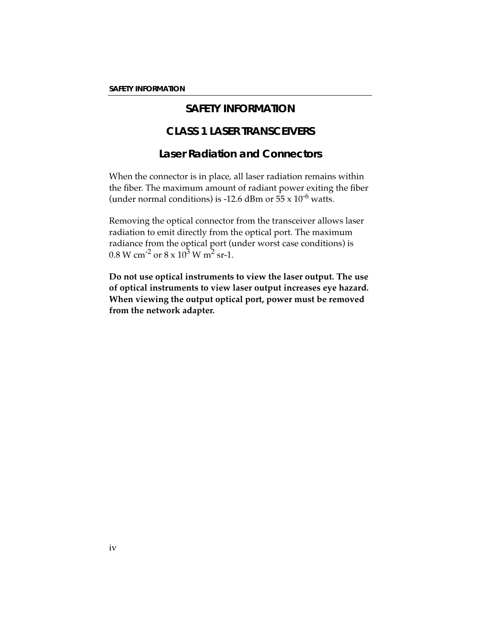# **SAFETY INFORMATION**

# **CLASS 1 LASER TRANSCEIVERS**

# **Laser Radiation and Connectors**

When the connector is in place, all laser radiation remains within the fiber. The maximum amount of radiant power exiting the fiber (under normal conditions) is -12.6 dBm or  $55 \times 10^{-6}$  watts.

Removing the optical connector from the transceiver allows laser radiation to emit directly from the optical port. The maximum radiance from the optical port (under worst case conditions) is  $0.8 \text{ W cm}^{-2} \text{ or } 8 \times 10^3 \text{ W m}^2 \text{ sr-1}.$ 

**Do not use optical instruments to view the laser output. The use of optical instruments to view laser output increases eye hazard. When viewing the output optical port, power must be removed from the network adapter.**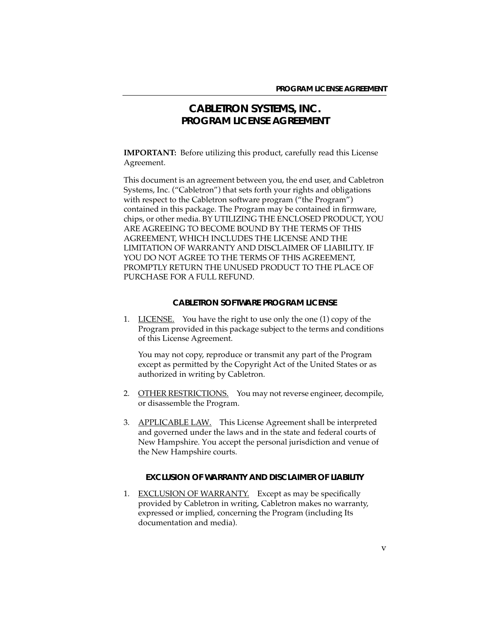## **CABLETRON SYSTEMS, INC. PROGRAM LICENSE AGREEMENT**

**IMPORTANT:** Before utilizing this product, carefully read this License Agreement.

This document is an agreement between you, the end user, and Cabletron Systems, Inc. ("Cabletron") that sets forth your rights and obligations with respect to the Cabletron software program ("the Program") contained in this package. The Program may be contained in firmware, chips, or other media. BY UTILIZING THE ENCLOSED PRODUCT, YOU ARE AGREEING TO BECOME BOUND BY THE TERMS OF THIS AGREEMENT, WHICH INCLUDES THE LICENSE AND THE LIMITATION OF WARRANTY AND DISCLAIMER OF LIABILITY. IF YOU DO NOT AGREE TO THE TERMS OF THIS AGREEMENT, PROMPTLY RETURN THE UNUSED PRODUCT TO THE PLACE OF PURCHASE FOR A FULL REFUND.

#### **CABLETRON SOFTWARE PROGRAM LICENSE**

1. LICENSE. You have the right to use only the one (1) copy of the Program provided in this package subject to the terms and conditions of this License Agreement.

You may not copy, reproduce or transmit any part of the Program except as permitted by the Copyright Act of the United States or as authorized in writing by Cabletron.

- 2. OTHER RESTRICTIONS. You may not reverse engineer, decompile, or disassemble the Program.
- 3. APPLICABLE LAW. This License Agreement shall be interpreted and governed under the laws and in the state and federal courts of New Hampshire. You accept the personal jurisdiction and venue of the New Hampshire courts.

#### **EXCLUSION OF WARRANTY AND DISCLAIMER OF LIABILITY**

1. EXCLUSION OF WARRANTY. Except as may be specifically provided by Cabletron in writing, Cabletron makes no warranty, expressed or implied, concerning the Program (including Its documentation and media).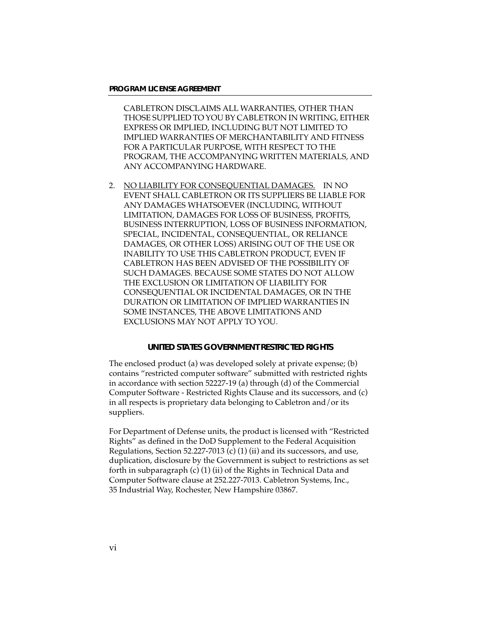CABLETRON DISCLAIMS ALL WARRANTIES, OTHER THAN THOSE SUPPLIED TO YOU BY CABLETRON IN WRITING, EITHER EXPRESS OR IMPLIED, INCLUDING BUT NOT LIMITED TO IMPLIED WARRANTIES OF MERCHANTABILITY AND FITNESS FOR A PARTICULAR PURPOSE, WITH RESPECT TO THE PROGRAM, THE ACCOMPANYING WRITTEN MATERIALS, AND ANY ACCOMPANYING HARDWARE.

2. NO LIABILITY FOR CONSEQUENTIAL DAMAGES. IN NO EVENT SHALL CABLETRON OR ITS SUPPLIERS BE LIABLE FOR ANY DAMAGES WHATSOEVER (INCLUDING, WITHOUT LIMITATION, DAMAGES FOR LOSS OF BUSINESS, PROFITS, BUSINESS INTERRUPTION, LOSS OF BUSINESS INFORMATION, SPECIAL, INCIDENTAL, CONSEQUENTIAL, OR RELIANCE DAMAGES, OR OTHER LOSS) ARISING OUT OF THE USE OR INABILITY TO USE THIS CABLETRON PRODUCT, EVEN IF CABLETRON HAS BEEN ADVISED OF THE POSSIBILITY OF SUCH DAMAGES. BECAUSE SOME STATES DO NOT ALLOW THE EXCLUSION OR LIMITATION OF LIABILITY FOR CONSEQUENTIAL OR INCIDENTAL DAMAGES, OR IN THE DURATION OR LIMITATION OF IMPLIED WARRANTIES IN SOME INSTANCES, THE ABOVE LIMITATIONS AND EXCLUSIONS MAY NOT APPLY TO YOU.

#### **UNITED STATES GOVERNMENT RESTRICTED RIGHTS**

The enclosed product (a) was developed solely at private expense; (b) contains "restricted computer software" submitted with restricted rights in accordance with section 52227-19 (a) through (d) of the Commercial Computer Software - Restricted Rights Clause and its successors, and (c) in all respects is proprietary data belonging to Cabletron and/or its suppliers.

For Department of Defense units, the product is licensed with "Restricted Rights" as defined in the DoD Supplement to the Federal Acquisition Regulations, Section 52.227-7013  $(c)$  (1) (ii) and its successors, and use, duplication, disclosure by the Government is subject to restrictions as set forth in subparagraph  $(c)$  (1) (ii) of the Rights in Technical Data and Computer Software clause at 252.227-7013. Cabletron Systems, Inc., 35 Industrial Way, Rochester, New Hampshire 03867.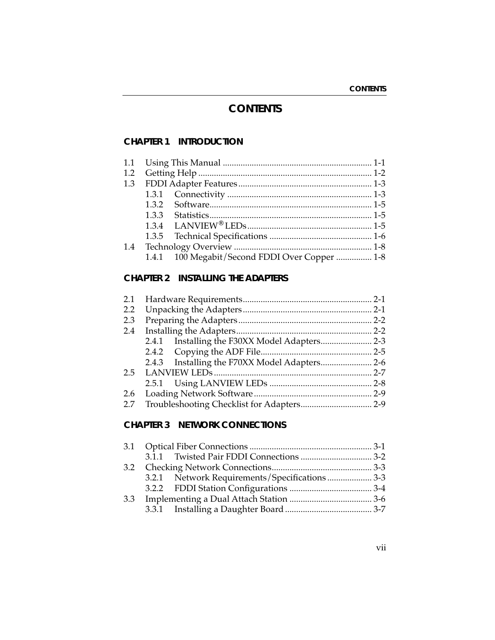# **CONTENTS**

## **CHAPTER 1 INTRODUCTION**

|  | 1.4.1 100 Megabit/Second FDDI Over Copper  1-8 |  |
|--|------------------------------------------------|--|
|  |                                                |  |

## **CHAPTER 2 INSTALLING THE ADAPTERS**

| $2.2^{\circ}$ |  |  |  |
|---------------|--|--|--|
| 2.3           |  |  |  |
| 2.4           |  |  |  |
|               |  |  |  |
|               |  |  |  |
|               |  |  |  |
|               |  |  |  |
|               |  |  |  |
|               |  |  |  |
|               |  |  |  |
|               |  |  |  |

## **CHAPTER 3 NETWORK CONNECTIONS**

|  | 3.2.1 Network Requirements/Specifications  3-3 |  |
|--|------------------------------------------------|--|
|  |                                                |  |
|  |                                                |  |
|  |                                                |  |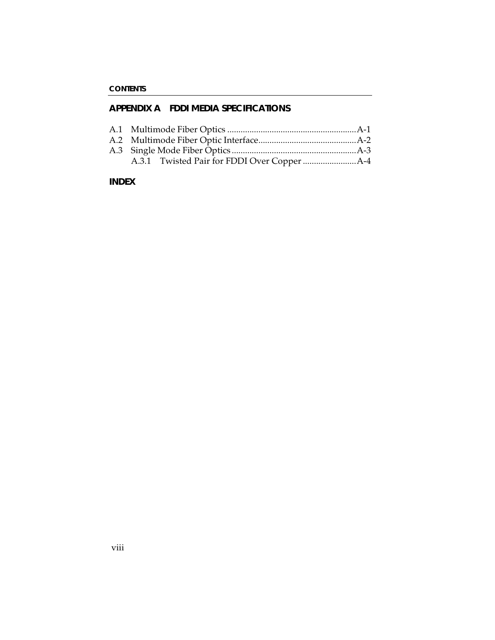## **APPENDIX A FDDI MEDIA SPECIFICATIONS**

### **INDEX**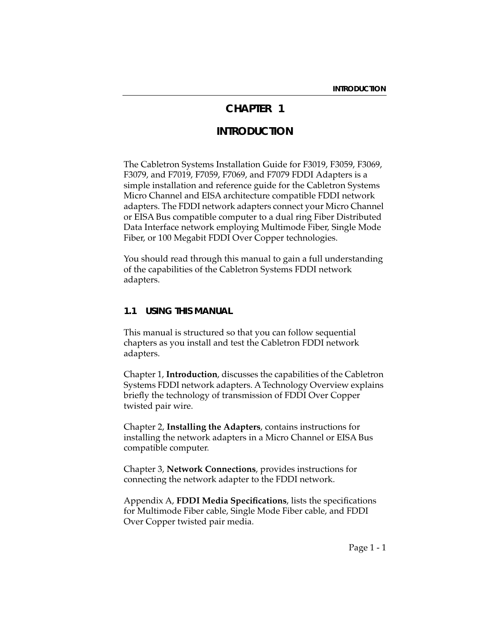# **CHAPTER 1**

# **INTRODUCTION**

The Cabletron Systems Installation Guide for F3019, F3059, F3069, F3079, and F7019, F7059, F7069, and F7079 FDDI Adapters is a simple installation and reference guide for the Cabletron Systems Micro Channel and EISA architecture compatible FDDI network adapters. The FDDI network adapters connect your Micro Channel or EISA Bus compatible computer to a dual ring Fiber Distributed Data Interface network employing Multimode Fiber, Single Mode Fiber, or 100 Megabit FDDI Over Copper technologies.

You should read through this manual to gain a full understanding of the capabilities of the Cabletron Systems FDDI network adapters.

### **1.1 USING THIS MANUAL**

This manual is structured so that you can follow sequential chapters as you install and test the Cabletron FDDI network adapters.

Chapter 1, **Introduction**, discusses the capabilities of the Cabletron Systems FDDI network adapters. A Technology Overview explains briefly the technology of transmission of FDDI Over Copper twisted pair wire.

Chapter 2, **Installing the Adapters**, contains instructions for installing the network adapters in a Micro Channel or EISA Bus compatible computer.

Chapter 3, **Network Connections**, provides instructions for connecting the network adapter to the FDDI network.

Appendix A, **FDDI Media Specifications**, lists the specifications for Multimode Fiber cable, Single Mode Fiber cable, and FDDI Over Copper twisted pair media.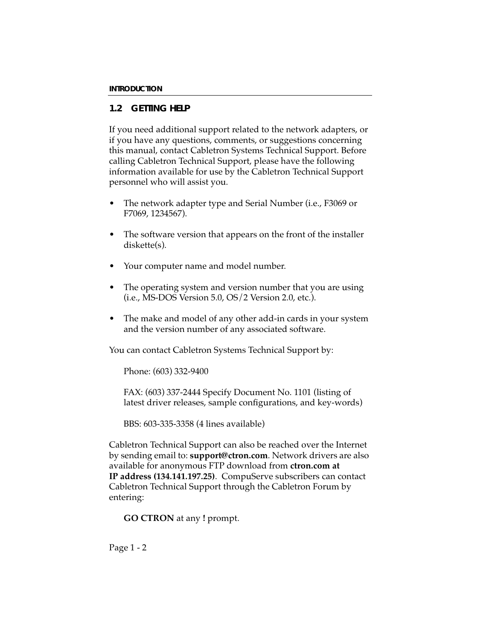## **1.2 GETTING HELP**

If you need additional support related to the network adapters, or if you have any questions, comments, or suggestions concerning this manual, contact Cabletron Systems Technical Support. Before calling Cabletron Technical Support, please have the following information available for use by the Cabletron Technical Support personnel who will assist you.

- The network adapter type and Serial Number (i.e., F3069 or F7069, 1234567).
- The software version that appears on the front of the installer diskette(s).
- Your computer name and model number.
- The operating system and version number that you are using (i.e., MS-DOS Version 5.0, OS/2 Version 2.0, etc.).
- The make and model of any other add-in cards in your system and the version number of any associated software.

You can contact Cabletron Systems Technical Support by:

Phone: (603) 332-9400

FAX: (603) 337-2444 Specify Document No. 1101 (listing of latest driver releases, sample configurations, and key-words)

BBS: 603-335-3358 (4 lines available)

Cabletron Technical Support can also be reached over the Internet by sending email to: **support@ctron.com**. Network drivers are also available for anonymous FTP download from **ctron.com at IP address (134.141.197.25)**. CompuServe subscribers can contact Cabletron Technical Support through the Cabletron Forum by entering:

```
GO CTRON at any ! prompt.
```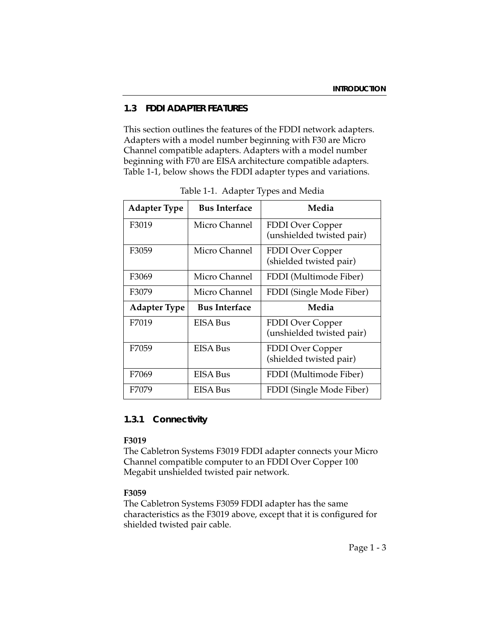### **1.3 FDDI ADAPTER FEATURES**

This section outlines the features of the FDDI network adapters. Adapters with a model number beginning with F30 are Micro Channel compatible adapters. Adapters with a model number beginning with F70 are EISA architecture compatible adapters. Table 1-1, below shows the FDDI adapter types and variations.

| <b>Adapter Type</b> | <b>Bus Interface</b> | Media                                                |
|---------------------|----------------------|------------------------------------------------------|
| F3019               | Micro Channel        | <b>FDDI</b> Over Copper<br>(unshielded twisted pair) |
| F3059               | Micro Channel        | <b>FDDI</b> Over Copper<br>(shielded twisted pair)   |
| F3069               | Micro Channel        | FDDI (Multimode Fiber)                               |
| F3079               | Micro Channel        | FDDI (Single Mode Fiber)                             |
| <b>Adapter Type</b> | <b>Bus Interface</b> | Media                                                |
| F7019               | EISA Bus             | FDDI Over Copper<br>(unshielded twisted pair)        |
| F7059               | <b>EISA Bus</b>      | <b>FDDI</b> Over Copper<br>(shielded twisted pair)   |
|                     |                      |                                                      |
| F7069               | EISA Bus             | FDDI (Multimode Fiber)                               |

Table 1-1. Adapter Types and Media

### **1.3.1 Connectivity**

#### **F3019**

The Cabletron Systems F3019 FDDI adapter connects your Micro Channel compatible computer to an FDDI Over Copper 100 Megabit unshielded twisted pair network.

#### **F3059**

The Cabletron Systems F3059 FDDI adapter has the same characteristics as the F3019 above, except that it is configured for shielded twisted pair cable.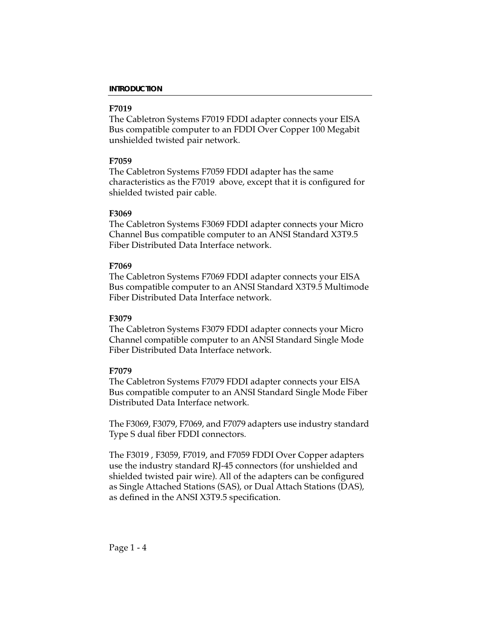#### **F7019**

The Cabletron Systems F7019 FDDI adapter connects your EISA Bus compatible computer to an FDDI Over Copper 100 Megabit unshielded twisted pair network.

#### **F7059**

The Cabletron Systems F7059 FDDI adapter has the same characteristics as the F7019 above, except that it is configured for shielded twisted pair cable.

#### **F3069**

The Cabletron Systems F3069 FDDI adapter connects your Micro Channel Bus compatible computer to an ANSI Standard X3T9.5 Fiber Distributed Data Interface network.

#### **F7069**

The Cabletron Systems F7069 FDDI adapter connects your EISA Bus compatible computer to an ANSI Standard X3T9.5 Multimode Fiber Distributed Data Interface network.

#### **F3079**

The Cabletron Systems F3079 FDDI adapter connects your Micro Channel compatible computer to an ANSI Standard Single Mode Fiber Distributed Data Interface network.

#### **F7079**

The Cabletron Systems F7079 FDDI adapter connects your EISA Bus compatible computer to an ANSI Standard Single Mode Fiber Distributed Data Interface network.

The F3069, F3079, F7069, and F7079 adapters use industry standard Type S dual fiber FDDI connectors.

The F3019 , F3059, F7019, and F7059 FDDI Over Copper adapters use the industry standard RJ-45 connectors (for unshielded and shielded twisted pair wire). All of the adapters can be configured as Single Attached Stations (SAS), or Dual Attach Stations (DAS), as defined in the ANSI X3T9.5 specification.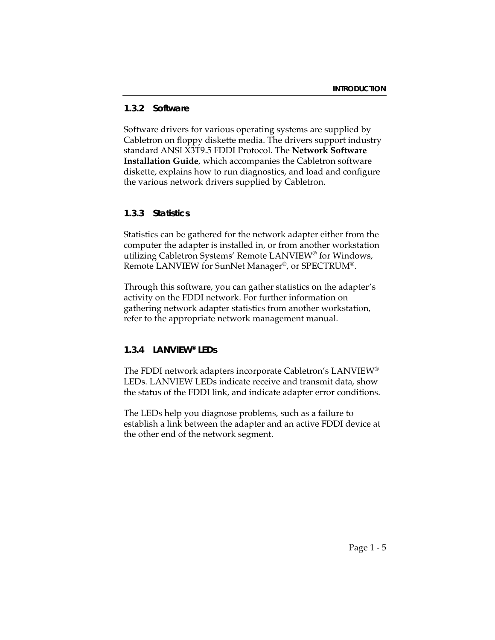#### **1.3.2 Software**

Software drivers for various operating systems are supplied by Cabletron on floppy diskette media. The drivers support industry standard ANSI X3T9.5 FDDI Protocol. The **Network Software Installation Guide**, which accompanies the Cabletron software diskette, explains how to run diagnostics, and load and configure the various network drivers supplied by Cabletron.

#### **1.3.3 Statistics**

Statistics can be gathered for the network adapter either from the computer the adapter is installed in, or from another workstation utilizing Cabletron Systems' Remote LANVIEW® for Windows, Remote LANVIEW for SunNet Manager®, or SPECTRUM®.

Through this software, you can gather statistics on the adapter's activity on the FDDI network. For further information on gathering network adapter statistics from another workstation, refer to the appropriate network management manual.

#### **1.3.4 LANVIEW® LEDs**

The FDDI network adapters incorporate Cabletron's LANVIEW® LEDs. LANVIEW LEDs indicate receive and transmit data, show the status of the FDDI link, and indicate adapter error conditions.

The LEDs help you diagnose problems, such as a failure to establish a link between the adapter and an active FDDI device at the other end of the network segment.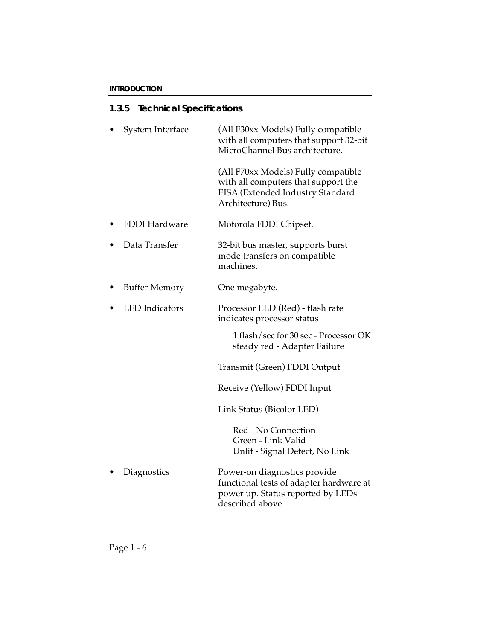# **1.3.5 Technical Specifications**

| System Interface      | (All F30xx Models) Fully compatible<br>with all computers that support 32-bit<br>MicroChannel Bus architecture.                      |
|-----------------------|--------------------------------------------------------------------------------------------------------------------------------------|
|                       | (All F70xx Models) Fully compatible<br>with all computers that support the<br>EISA (Extended Industry Standard<br>Architecture) Bus. |
| <b>FDDI Hardware</b>  | Motorola FDDI Chipset.                                                                                                               |
| Data Transfer         | 32-bit bus master, supports burst<br>mode transfers on compatible<br>machines.                                                       |
| <b>Buffer Memory</b>  | One megabyte.                                                                                                                        |
| <b>LED</b> Indicators | Processor LED (Red) - flash rate<br>indicates processor status                                                                       |
|                       | 1 flash/sec for 30 sec - Processor OK<br>steady red - Adapter Failure                                                                |
|                       | Transmit (Green) FDDI Output                                                                                                         |
|                       | Receive (Yellow) FDDI Input                                                                                                          |
|                       | Link Status (Bicolor LED)                                                                                                            |
|                       | Red - No Connection<br>Green - Link Valid<br>Unlit - Signal Detect, No Link                                                          |
| Diagnostics           | Power-on diagnostics provide<br>functional tests of adapter hardware at<br>power up. Status reported by LEDs<br>described above.     |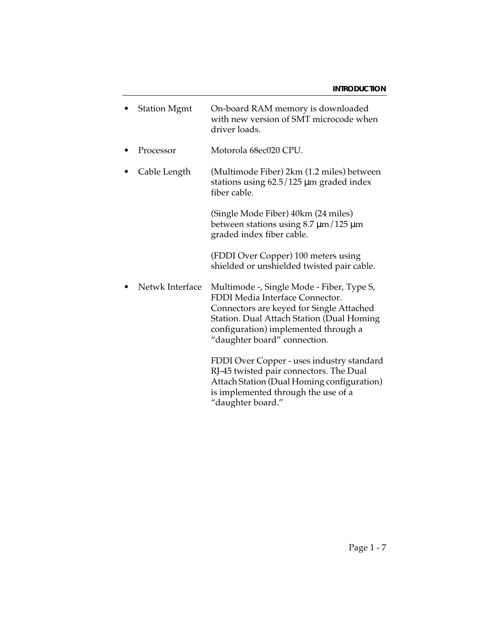| <b>Station Mgmt</b> | On-board RAM memory is downloaded<br>with new version of SMT microcode when<br>driver loads.                                                                                                                                                  |
|---------------------|-----------------------------------------------------------------------------------------------------------------------------------------------------------------------------------------------------------------------------------------------|
| Processor           | Motorola 68ec020 CPU.                                                                                                                                                                                                                         |
| Cable Length        | (Multimode Fiber) 2km (1.2 miles) between<br>stations using $62.5/125 \,\mu m$ graded index<br>fiber cable.                                                                                                                                   |
|                     | (Single Mode Fiber) 40km (24 miles)<br>between stations using $8.7 \,\mathrm{\upmu m}/125 \,\mathrm{\upmu m}$<br>graded index fiber cable.                                                                                                    |
|                     | (FDDI Over Copper) 100 meters using<br>shielded or unshielded twisted pair cable.                                                                                                                                                             |
| Netwk Interface     | Multimode -, Single Mode - Fiber, Type S,<br>FDDI Media Interface Connector.<br>Connectors are keyed for Single Attached<br>Station. Dual Attach Station (Dual Homing<br>configuration) implemented through a<br>"daughter board" connection. |
|                     | FDDI Over Copper - uses industry standard<br>RJ-45 twisted pair connectors. The Dual<br>Attach Station (Dual Homing configuration)<br>is implemented through the use of a<br>"daughter board."                                                |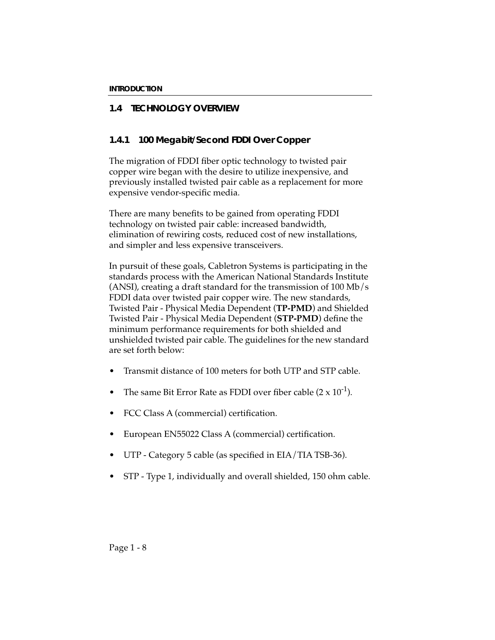## **1.4 TECHNOLOGY OVERVIEW**

### **1.4.1 100 Megabit/Second FDDI Over Copper**

The migration of FDDI fiber optic technology to twisted pair copper wire began with the desire to utilize inexpensive, and previously installed twisted pair cable as a replacement for more expensive vendor-specific media.

There are many benefits to be gained from operating FDDI technology on twisted pair cable: increased bandwidth, elimination of rewiring costs, reduced cost of new installations, and simpler and less expensive transceivers.

In pursuit of these goals, Cabletron Systems is participating in the standards process with the American National Standards Institute (ANSI), creating a draft standard for the transmission of 100 Mb/s FDDI data over twisted pair copper wire. The new standards, Twisted Pair - Physical Media Dependent (**TP-PMD**) and Shielded Twisted Pair - Physical Media Dependent (**STP-PMD**) define the minimum performance requirements for both shielded and unshielded twisted pair cable. The guidelines for the new standard are set forth below:

- Transmit distance of 100 meters for both UTP and STP cable.
- The same Bit Error Rate as FDDI over fiber cable  $(2 \times 10^{-1})$ .
- FCC Class A (commercial) certification.
- European EN55022 Class A (commercial) certification.
- UTP Category 5 cable (as specified in EIA/TIA TSB-36).
- STP Type 1, individually and overall shielded, 150 ohm cable.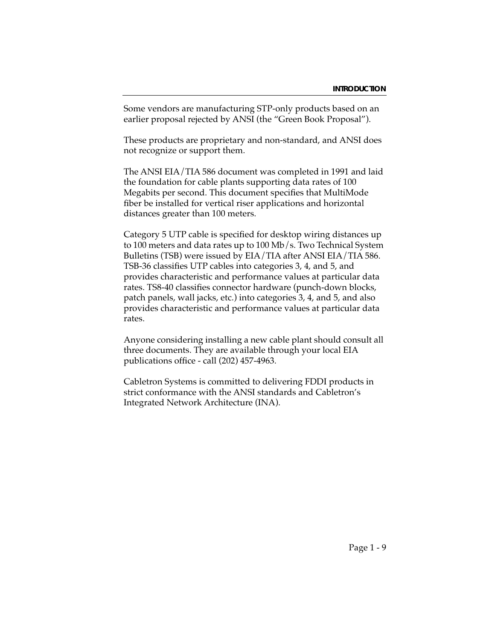Some vendors are manufacturing STP-only products based on an earlier proposal rejected by ANSI (the "Green Book Proposal").

These products are proprietary and non-standard, and ANSI does not recognize or support them.

The ANSI EIA/TIA 586 document was completed in 1991 and laid the foundation for cable plants supporting data rates of 100 Megabits per second. This document specifies that MultiMode fiber be installed for vertical riser applications and horizontal distances greater than 100 meters.

Category 5 UTP cable is specified for desktop wiring distances up to 100 meters and data rates up to 100 Mb/s. Two Technical System Bulletins (TSB) were issued by EIA/TIA after ANSI EIA/TIA 586. TSB-36 classifies UTP cables into categories 3, 4, and 5, and provides characteristic and performance values at particular data rates. TS8-40 classifies connector hardware (punch-down blocks, patch panels, wall jacks, etc.) into categories 3, 4, and 5, and also provides characteristic and performance values at particular data rates.

Anyone considering installing a new cable plant should consult all three documents. They are available through your local EIA publications office - call (202) 457-4963.

Cabletron Systems is committed to delivering FDDI products in strict conformance with the ANSI standards and Cabletron's Integrated Network Architecture (INA).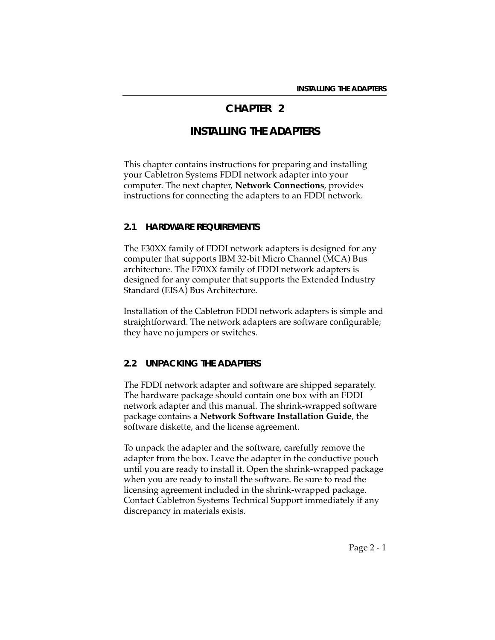# **CHAPTER 2**

# **INSTALLING THE ADAPTERS**

This chapter contains instructions for preparing and installing your Cabletron Systems FDDI network adapter into your computer. The next chapter, **Network Connections**, provides instructions for connecting the adapters to an FDDI network.

#### **2.1 HARDWARE REQUIREMENTS**

The F30XX family of FDDI network adapters is designed for any computer that supports IBM 32-bit Micro Channel (MCA) Bus architecture. The F70XX family of FDDI network adapters is designed for any computer that supports the Extended Industry Standard (EISA) Bus Architecture.

Installation of the Cabletron FDDI network adapters is simple and straightforward. The network adapters are software configurable; they have no jumpers or switches.

### **2.2 UNPACKING THE ADAPTERS**

The FDDI network adapter and software are shipped separately. The hardware package should contain one box with an FDDI network adapter and this manual. The shrink-wrapped software package contains a **Network Software Installation Guide**, the software diskette, and the license agreement.

To unpack the adapter and the software, carefully remove the adapter from the box. Leave the adapter in the conductive pouch until you are ready to install it. Open the shrink-wrapped package when you are ready to install the software. Be sure to read the licensing agreement included in the shrink-wrapped package. Contact Cabletron Systems Technical Support immediately if any discrepancy in materials exists.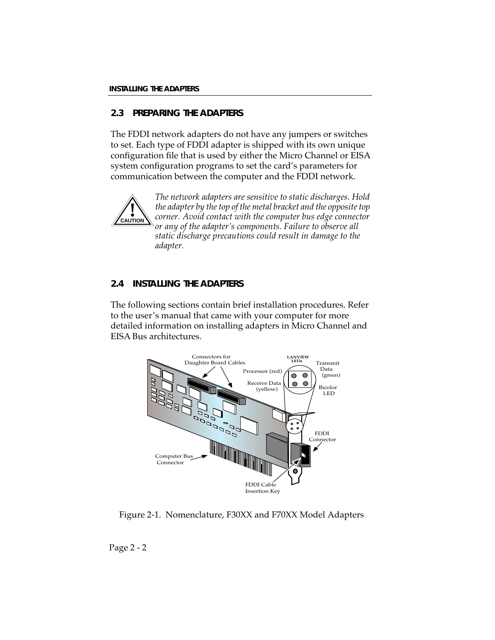## **2.3 PREPARING THE ADAPTERS**

The FDDI network adapters do not have any jumpers or switches to set. Each type of FDDI adapter is shipped with its own unique configuration file that is used by either the Micro Channel or EISA system configuration programs to set the card's parameters for communication between the computer and the FDDI network.



*The network adapters are sensitive to static discharges. Hold the adapter by the top of the metal bracket and the opposite top corner. Avoid contact with the computer bus edge connector or any of the adapter's components. Failure to observe all static discharge precautions could result in damage to the adapter.*

## **2.4 INSTALLING THE ADAPTERS**

The following sections contain brief installation procedures. Refer to the user's manual that came with your computer for more detailed information on installing adapters in Micro Channel and EISA Bus architectures.



Figure 2-1. Nomenclature, F30XX and F70XX Model Adapters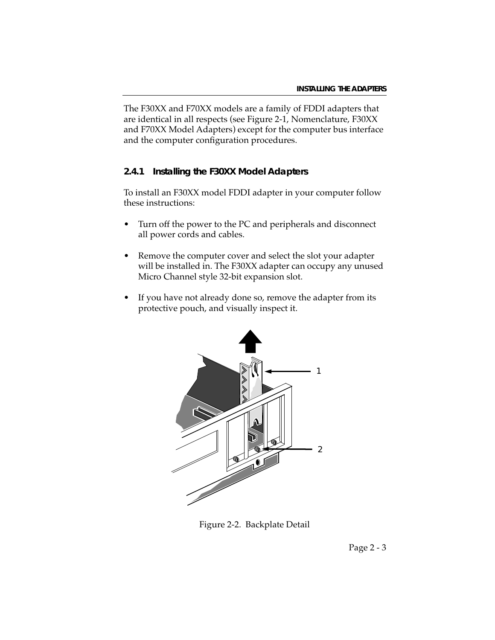The F30XX and F70XX models are a family of FDDI adapters that are identical in all respects (see Figure 2-1, Nomenclature, F30XX and F70XX Model Adapters) except for the computer bus interface and the computer configuration procedures.

#### **2.4.1 Installing the F30XX Model Adapters**

To install an F30XX model FDDI adapter in your computer follow these instructions:

- Turn off the power to the PC and peripherals and disconnect all power cords and cables.
- Remove the computer cover and select the slot your adapter will be installed in. The F30XX adapter can occupy any unused Micro Channel style 32-bit expansion slot.
- If you have not already done so, remove the adapter from its protective pouch, and visually inspect it.



Figure 2-2. Backplate Detail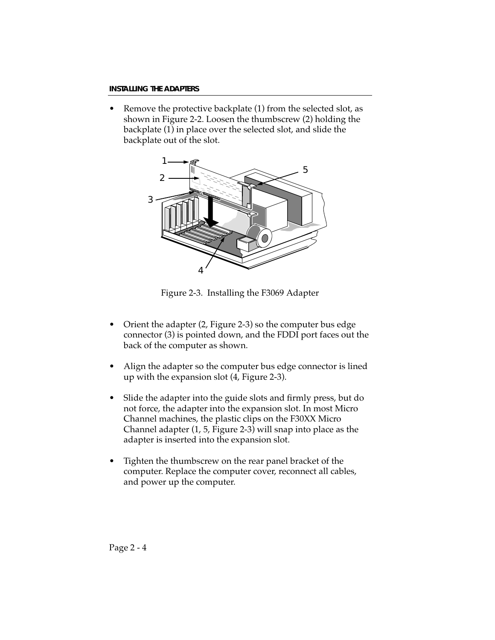• Remove the protective backplate (1) from the selected slot, as shown in Figure 2-2. Loosen the thumbscrew (2) holding the backplate (1) in place over the selected slot, and slide the backplate out of the slot.



Figure 2-3. Installing the F3069 Adapter

- Orient the adapter (2, Figure 2-3) so the computer bus edge connector (3) is pointed down, and the FDDI port faces out the back of the computer as shown.
- Align the adapter so the computer bus edge connector is lined up with the expansion slot (4, Figure 2-3).
- Slide the adapter into the guide slots and firmly press, but do not force, the adapter into the expansion slot. In most Micro Channel machines, the plastic clips on the F30XX Micro Channel adapter (1, 5, Figure 2-3) will snap into place as the adapter is inserted into the expansion slot.
- Tighten the thumbscrew on the rear panel bracket of the computer. Replace the computer cover, reconnect all cables, and power up the computer.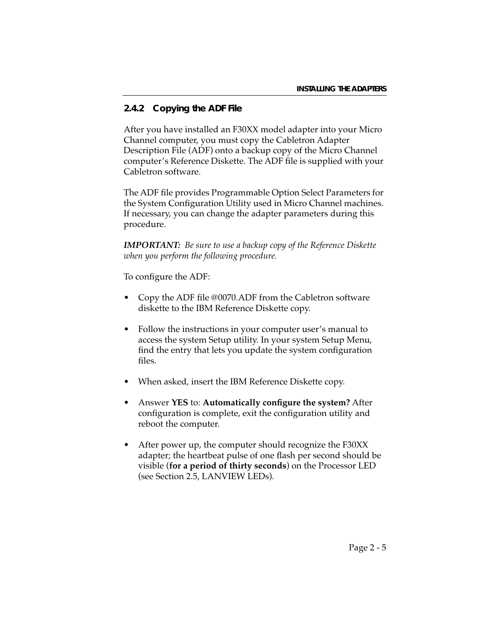## **2.4.2 Copying the ADF File**

After you have installed an F30XX model adapter into your Micro Channel computer, you must copy the Cabletron Adapter Description File (ADF) onto a backup copy of the Micro Channel computer's Reference Diskette. The ADF file is supplied with your Cabletron software.

The ADF file provides Programmable Option Select Parameters for the System Configuration Utility used in Micro Channel machines. If necessary, you can change the adapter parameters during this procedure.

*IMPORTANT: Be sure to use a backup copy of the Reference Diskette when you perform the following procedure.* 

To configure the ADF:

- Copy the ADF file @0070.ADF from the Cabletron software diskette to the IBM Reference Diskette copy.
- Follow the instructions in your computer user's manual to access the system Setup utility. In your system Setup Menu, find the entry that lets you update the system configuration files.
- When asked, insert the IBM Reference Diskette copy.
- Answer **YES** to: **Automatically configure the system?** After configuration is complete, exit the configuration utility and reboot the computer.
- After power up, the computer should recognize the F30XX adapter; the heartbeat pulse of one flash per second should be visible (**for a period of thirty seconds**) on the Processor LED (see Section 2.5, LANVIEW LEDs).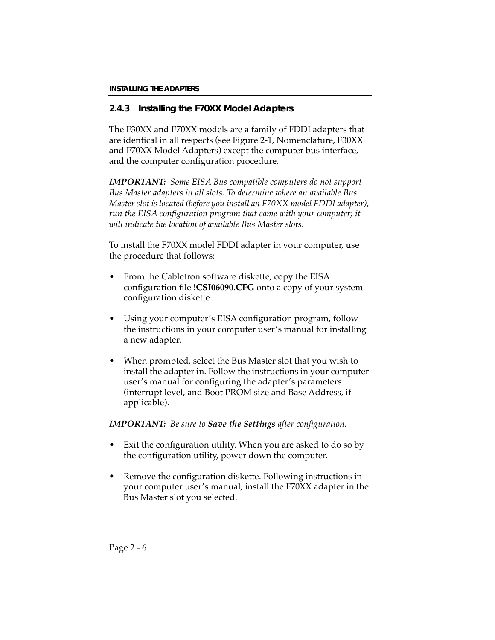## **2.4.3 Installing the F70XX Model Adapters**

The F30XX and F70XX models are a family of FDDI adapters that are identical in all respects (see Figure 2-1, Nomenclature, F30XX and F70XX Model Adapters) except the computer bus interface, and the computer configuration procedure.

*IMPORTANT: Some EISA Bus compatible computers do not support Bus Master adapters in all slots. To determine where an available Bus Master slot is located (before you install an F70XX model FDDI adapter), run the EISA configuration program that came with your computer; it will indicate the location of available Bus Master slots.*

To install the F70XX model FDDI adapter in your computer, use the procedure that follows:

- From the Cabletron software diskette, copy the EISA configuration file **!CSI06090.CFG** onto a copy of your system configuration diskette.
- Using your computer's EISA configuration program, follow the instructions in your computer user's manual for installing a new adapter.
- When prompted, select the Bus Master slot that you wish to install the adapter in. Follow the instructions in your computer user's manual for configuring the adapter's parameters (interrupt level, and Boot PROM size and Base Address, if applicable).

### *IMPORTANT: Be sure to Save the Settings after configuration.*

- Exit the configuration utility. When you are asked to do so by the configuration utility, power down the computer.
- Remove the configuration diskette. Following instructions in your computer user's manual, install the F70XX adapter in the Bus Master slot you selected.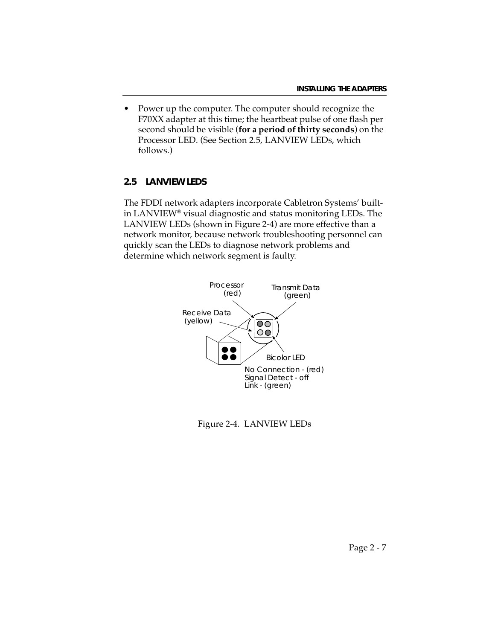• Power up the computer. The computer should recognize the F70XX adapter at this time; the heartbeat pulse of one flash per second should be visible (**for a period of thirty seconds**) on the Processor LED. (See Section 2.5, LANVIEW LEDs, which follows.)

### **2.5 LANVIEW LEDS**

The FDDI network adapters incorporate Cabletron Systems' builtin LANVIEW® visual diagnostic and status monitoring LEDs. The LANVIEW LEDs (shown in Figure 2-4) are more effective than a network monitor, because network troubleshooting personnel can quickly scan the LEDs to diagnose network problems and determine which network segment is faulty.



Figure 2-4. LANVIEW LEDs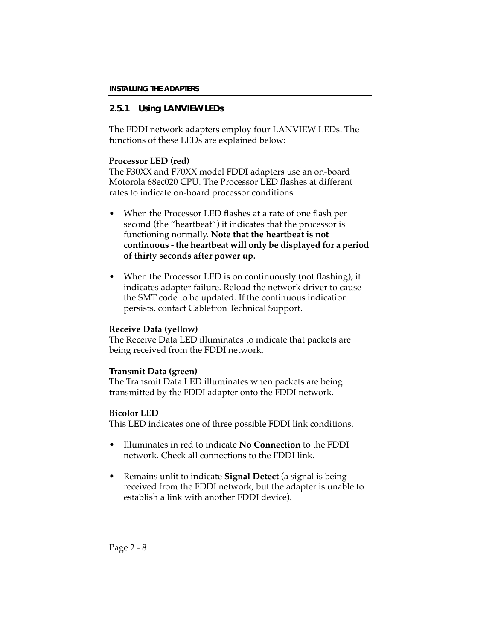## **2.5.1 Using LANVIEW LEDs**

The FDDI network adapters employ four LANVIEW LEDs. The functions of these LEDs are explained below:

#### **Processor LED (red)**

The F30XX and F70XX model FDDI adapters use an on-board Motorola 68ec020 CPU. The Processor LED flashes at different rates to indicate on-board processor conditions.

- When the Processor LED flashes at a rate of one flash per second (the "heartbeat") it indicates that the processor is functioning normally. **Note that the heartbeat is not continuous - the heartbeat will only be displayed for a period of thirty seconds after power up.**
- When the Processor LED is on continuously (not flashing), it indicates adapter failure. Reload the network driver to cause the SMT code to be updated. If the continuous indication persists, contact Cabletron Technical Support.

### **Receive Data (yellow)**

The Receive Data LED illuminates to indicate that packets are being received from the FDDI network.

#### **Transmit Data (green)**

The Transmit Data LED illuminates when packets are being transmitted by the FDDI adapter onto the FDDI network.

### **Bicolor LED**

This LED indicates one of three possible FDDI link conditions.

- Illuminates in red to indicate **No Connection** to the FDDI network. Check all connections to the FDDI link.
- Remains unlit to indicate **Signal Detect** (a signal is being received from the FDDI network, but the adapter is unable to establish a link with another FDDI device).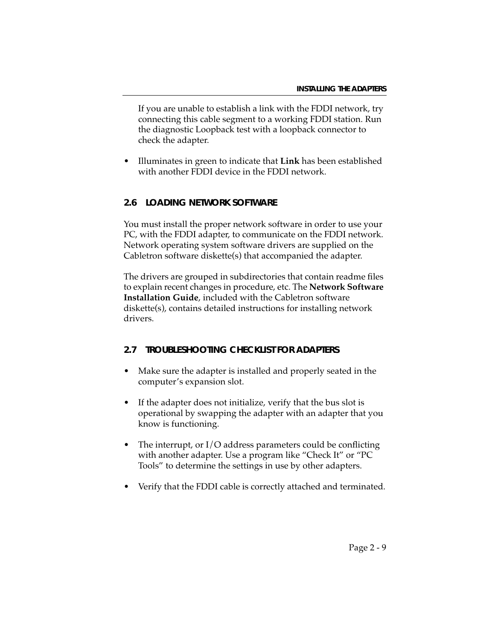If you are unable to establish a link with the FDDI network, try connecting this cable segment to a working FDDI station. Run the diagnostic Loopback test with a loopback connector to check the adapter.

• Illuminates in green to indicate that **Link** has been established with another FDDI device in the FDDI network.

### **2.6 LOADING NETWORK SOFTWARE**

You must install the proper network software in order to use your PC, with the FDDI adapter, to communicate on the FDDI network. Network operating system software drivers are supplied on the Cabletron software diskette(s) that accompanied the adapter.

The drivers are grouped in subdirectories that contain readme files to explain recent changes in procedure, etc. The **Network Software Installation Guide**, included with the Cabletron software diskette(s), contains detailed instructions for installing network drivers.

### **2.7 TROUBLESHOOTING CHECKLIST FOR ADAPTERS**

- Make sure the adapter is installed and properly seated in the computer's expansion slot.
- If the adapter does not initialize, verify that the bus slot is operational by swapping the adapter with an adapter that you know is functioning.
- The interrupt, or  $I/O$  address parameters could be conflicting with another adapter. Use a program like "Check It" or "PC Tools" to determine the settings in use by other adapters.
- Verify that the FDDI cable is correctly attached and terminated.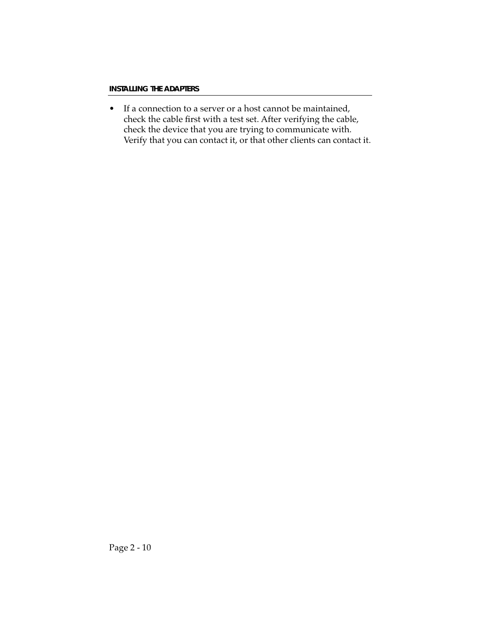• If a connection to a server or a host cannot be maintained, check the cable first with a test set. After verifying the cable, check the device that you are trying to communicate with. Verify that you can contact it, or that other clients can contact it.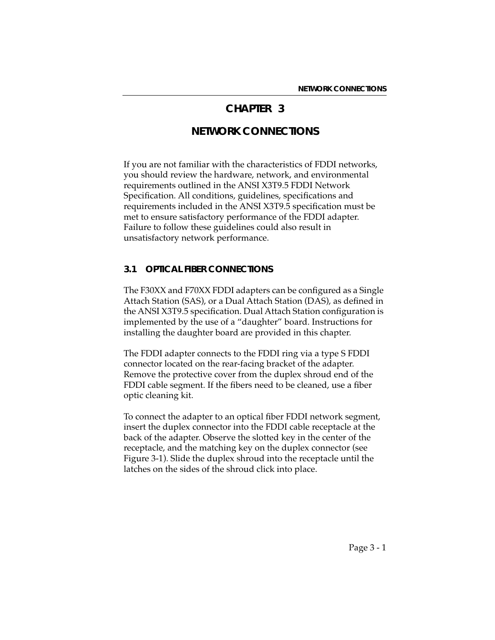## **CHAPTER 3**

# **NETWORK CONNECTIONS**

If you are not familiar with the characteristics of FDDI networks, you should review the hardware, network, and environmental requirements outlined in the ANSI X3T9.5 FDDI Network Specification. All conditions, guidelines, specifications and requirements included in the ANSI X3T9.5 specification must be met to ensure satisfactory performance of the FDDI adapter. Failure to follow these guidelines could also result in unsatisfactory network performance.

#### **3.1 OPTICAL FIBER CONNECTIONS**

The F30XX and F70XX FDDI adapters can be configured as a Single Attach Station (SAS), or a Dual Attach Station (DAS), as defined in the ANSI X3T9.5 specification. Dual Attach Station configuration is implemented by the use of a "daughter" board. Instructions for installing the daughter board are provided in this chapter.

The FDDI adapter connects to the FDDI ring via a type S FDDI connector located on the rear-facing bracket of the adapter. Remove the protective cover from the duplex shroud end of the FDDI cable segment. If the fibers need to be cleaned, use a fiber optic cleaning kit.

To connect the adapter to an optical fiber FDDI network segment, insert the duplex connector into the FDDI cable receptacle at the back of the adapter. Observe the slotted key in the center of the receptacle, and the matching key on the duplex connector (see Figure 3-1). Slide the duplex shroud into the receptacle until the latches on the sides of the shroud click into place.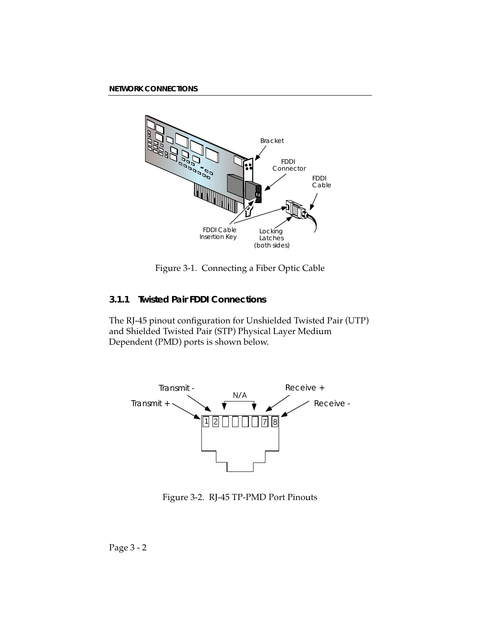

Figure 3-1. Connecting a Fiber Optic Cable

## **3.1.1 Twisted Pair FDDI Connections**

The RJ-45 pinout configuration for Unshielded Twisted Pair (UTP) and Shielded Twisted Pair (STP) Physical Layer Medium Dependent (PMD) ports is shown below.



Figure 3-2. RJ-45 TP-PMD Port Pinouts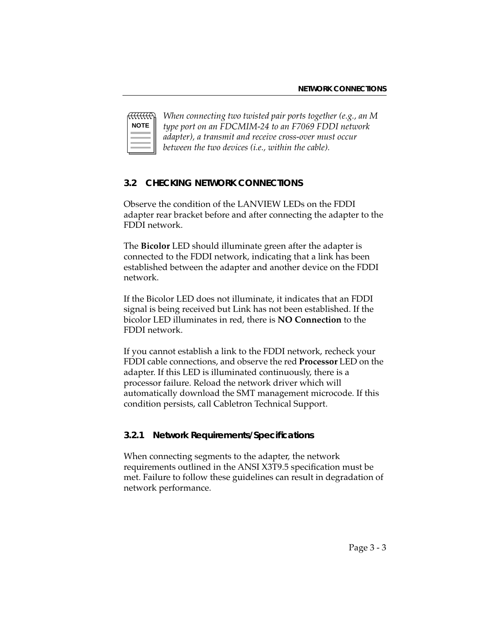| OTE<br>N |  |
|----------|--|
|          |  |
|          |  |

*When connecting two twisted pair ports together (e.g., an M type port on an FDCMIM-24 to an F7069 FDDI network adapter), a transmit and receive cross-over must occur between the two devices (i.e., within the cable).* 

### **3.2 CHECKING NETWORK CONNECTIONS**

Observe the condition of the LANVIEW LEDs on the FDDI adapter rear bracket before and after connecting the adapter to the FDDI network.

The **Bicolor** LED should illuminate green after the adapter is connected to the FDDI network, indicating that a link has been established between the adapter and another device on the FDDI network.

If the Bicolor LED does not illuminate, it indicates that an FDDI signal is being received but Link has not been established. If the bicolor LED illuminates in red, there is **NO Connection** to the FDDI network.

If you cannot establish a link to the FDDI network, recheck your FDDI cable connections, and observe the red **Processor** LED on the adapter. If this LED is illuminated continuously, there is a processor failure. Reload the network driver which will automatically download the SMT management microcode. If this condition persists, call Cabletron Technical Support.

### **3.2.1 Network Requirements/Specifications**

When connecting segments to the adapter, the network requirements outlined in the ANSI X3T9.5 specification must be met. Failure to follow these guidelines can result in degradation of network performance.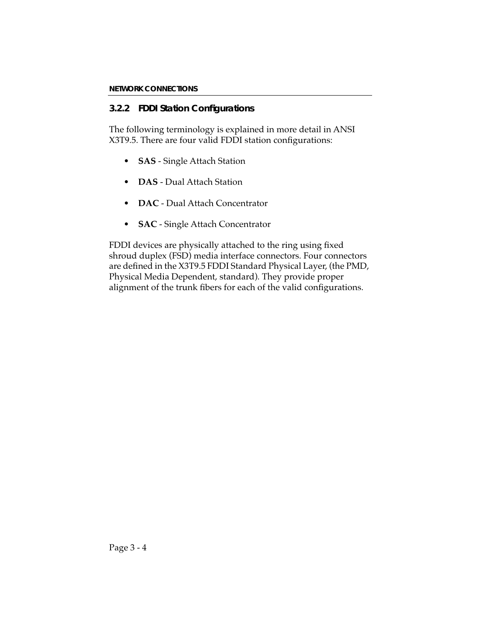## **3.2.2 FDDI Station Configurations**

The following terminology is explained in more detail in ANSI X3T9.5. There are four valid FDDI station configurations:

- **SAS** Single Attach Station
- **DAS** Dual Attach Station
- **DAC**  Dual Attach Concentrator
- **SAC** Single Attach Concentrator

FDDI devices are physically attached to the ring using fixed shroud duplex (FSD) media interface connectors. Four connectors are defined in the X3T9.5 FDDI Standard Physical Layer, (the PMD, Physical Media Dependent, standard). They provide proper alignment of the trunk fibers for each of the valid configurations.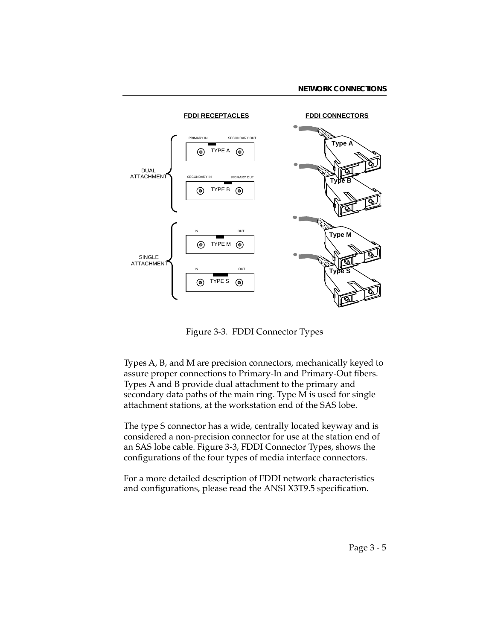

Figure 3-3. FDDI Connector Types

Types A, B, and M are precision connectors, mechanically keyed to assure proper connections to Primary-In and Primary-Out fibers. Types A and B provide dual attachment to the primary and secondary data paths of the main ring. Type M is used for single attachment stations, at the workstation end of the SAS lobe.

The type S connector has a wide, centrally located keyway and is considered a non-precision connector for use at the station end of an SAS lobe cable. Figure 3-3, FDDI Connector Types, shows the configurations of the four types of media interface connectors.

For a more detailed description of FDDI network characteristics and configurations, please read the ANSI X3T9.5 specification.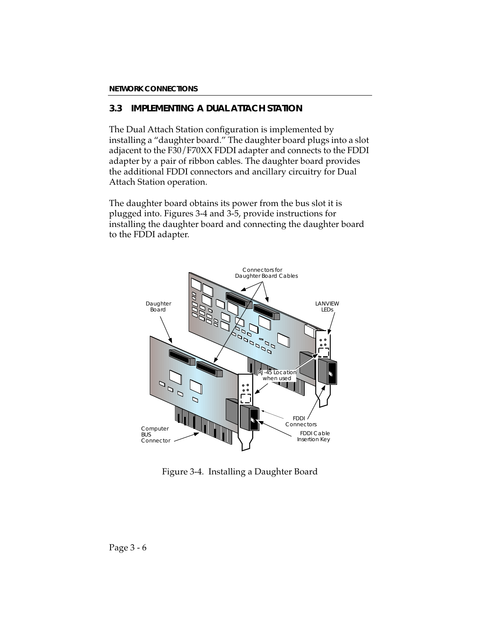## **3.3 IMPLEMENTING A DUAL ATTACH STATION**

The Dual Attach Station configuration is implemented by installing a "daughter board." The daughter board plugs into a slot adjacent to the F30/F70XX FDDI adapter and connects to the FDDI adapter by a pair of ribbon cables. The daughter board provides the additional FDDI connectors and ancillary circuitry for Dual Attach Station operation.

The daughter board obtains its power from the bus slot it is plugged into. Figures 3-4 and 3-5, provide instructions for installing the daughter board and connecting the daughter board to the FDDI adapter.



Figure 3-4. Installing a Daughter Board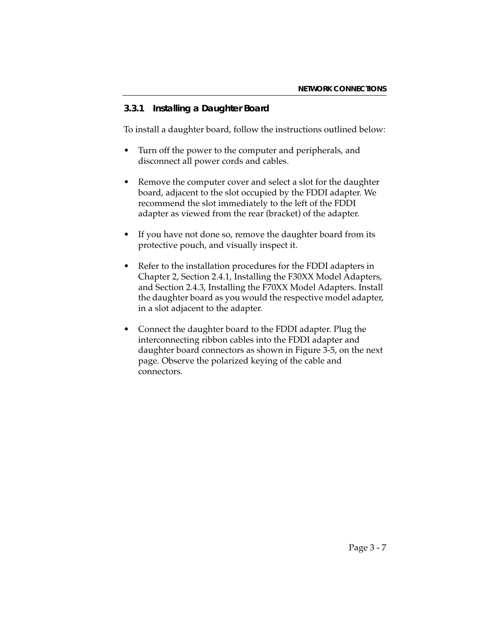### **3.3.1 Installing a Daughter Board**

To install a daughter board, follow the instructions outlined below:

- Turn off the power to the computer and peripherals, and disconnect all power cords and cables.
- Remove the computer cover and select a slot for the daughter board, adjacent to the slot occupied by the FDDI adapter. We recommend the slot immediately to the left of the FDDI adapter as viewed from the rear (bracket) of the adapter.
- If you have not done so, remove the daughter board from its protective pouch, and visually inspect it.
- Refer to the installation procedures for the FDDI adapters in Chapter 2, Section 2.4.1, Installing the F30XX Model Adapters, and Section 2.4.3, Installing the F70XX Model Adapters. Install the daughter board as you would the respective model adapter, in a slot adjacent to the adapter.
- Connect the daughter board to the FDDI adapter. Plug the interconnecting ribbon cables into the FDDI adapter and daughter board connectors as shown in Figure 3-5, on the next page. Observe the polarized keying of the cable and connectors.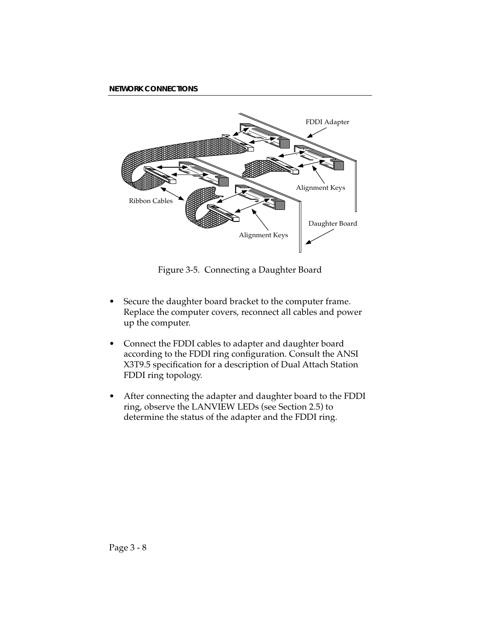

Figure 3-5. Connecting a Daughter Board

- Secure the daughter board bracket to the computer frame. Replace the computer covers, reconnect all cables and power up the computer.
- Connect the FDDI cables to adapter and daughter board according to the FDDI ring configuration. Consult the ANSI X3T9.5 specification for a description of Dual Attach Station FDDI ring topology.
- After connecting the adapter and daughter board to the FDDI ring, observe the LANVIEW LEDs (see Section 2.5) to determine the status of the adapter and the FDDI ring.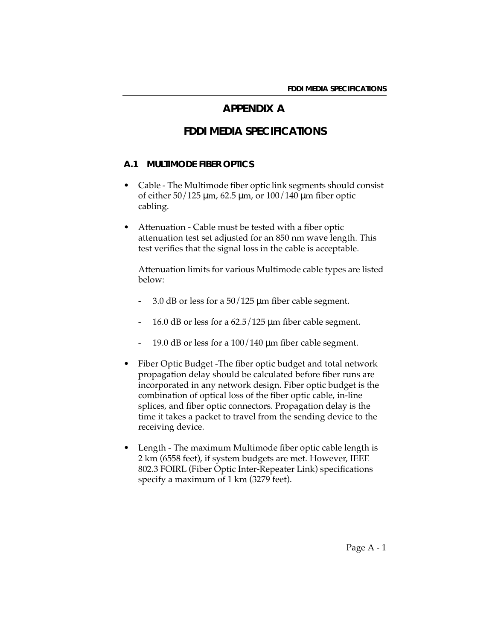## **APPENDIX A**

# **FDDI MEDIA SPECIFICATIONS**

#### **A.1 MULTIMODE FIBER OPTICS**

- Cable The Multimode fiber optic link segments should consist of either 50/125 µm, 62.5 µm, or 100/140 µm fiber optic cabling.
- Attenuation Cable must be tested with a fiber optic attenuation test set adjusted for an 850 nm wave length. This test verifies that the signal loss in the cable is acceptable.

Attenuation limits for various Multimode cable types are listed below:

- 3.0 dB or less for a  $50/125$  µm fiber cable segment.
- 16.0 dB or less for a 62.5/125 µm fiber cable segment.
- 19.0 dB or less for a  $100/140$  µm fiber cable segment.
- Fiber Optic Budget -The fiber optic budget and total network propagation delay should be calculated before fiber runs are incorporated in any network design. Fiber optic budget is the combination of optical loss of the fiber optic cable, in-line splices, and fiber optic connectors. Propagation delay is the time it takes a packet to travel from the sending device to the receiving device.
- Length The maximum Multimode fiber optic cable length is 2 km (6558 feet), if system budgets are met. However, IEEE 802.3 FOIRL (Fiber Optic Inter-Repeater Link) specifications specify a maximum of 1 km (3279 feet).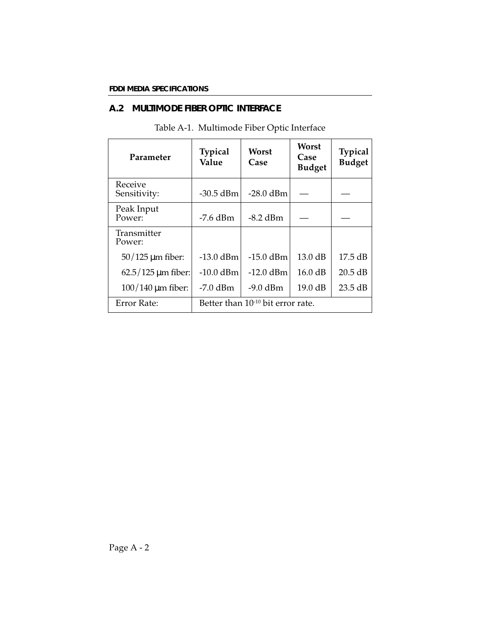### **A.2 MULTIMODE FIBER OPTIC INTERFACE**

| Parameter                          | <b>Typical</b><br>Value | Worst<br>Case                                 | Worst<br>Case<br><b>Budget</b> | <b>Typical</b><br><b>Budget</b> |
|------------------------------------|-------------------------|-----------------------------------------------|--------------------------------|---------------------------------|
| Receive<br>Sensitivity:            | $-30.5$ dBm             | $-28.0$ dBm                                   |                                |                                 |
| Peak Input<br>Power:               | $-7.6$ dBm              | $-8.2$ dBm                                    |                                |                                 |
| Transmitter<br>Power:              |                         |                                               |                                |                                 |
| $50/125$ µm fiber:                 | $-13.0$ dBm             | $-15.0$ dBm                                   | 13.0 dB                        | 17.5 dB                         |
| $62.5/125 \,\mathrm{\mu m}$ fiber: | $-10.0$ dBm             | $-12.0$ dBm                                   | 16.0 dB                        | $20.5$ dB                       |
| $100/140$ µm fiber:                | $-7.0$ dBm              | $-9.0$ dBm                                    | 19.0 dB                        | $23.5 \text{ dB}$               |
| <b>Error Rate:</b>                 |                         | Better than 10 <sup>-10</sup> bit error rate. |                                |                                 |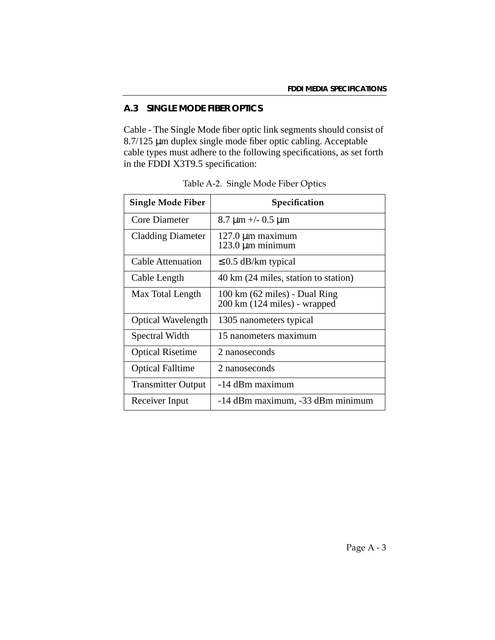## **A.3 SINGLE MODE FIBER OPTICS**

Cable - The Single Mode fiber optic link segments should consist of 8.7/125 µm duplex single mode fiber optic cabling. Acceptable cable types must adhere to the following specifications, as set forth in the FDDI X3T9.5 specification:

| <b>Single Mode Fiber</b>  | Specification                                                                     |
|---------------------------|-----------------------------------------------------------------------------------|
| Core Diameter             | $8.7 \,\mathrm{\upmu m}$ +/- 0.5 $\mathrm{\upmu m}$                               |
| <b>Cladding Diameter</b>  | $127.0 \mu m$ maximum<br>$123.0 \,\mathrm{\upmu m}$ minimum                       |
| Cable Attenuation         | $\leq$ 0.5 dB/km typical                                                          |
| Cable Length              | 40 km (24 miles, station to station)                                              |
| Max Total Length          | $100 \text{ km}$ (62 miles) - Dual Ring<br>$200 \text{ km}$ (124 miles) - wrapped |
| <b>Optical Wavelength</b> | 1305 nanometers typical                                                           |
| Spectral Width            | 15 nanometers maximum                                                             |
| <b>Optical Risetime</b>   | 2 nanoseconds                                                                     |
| <b>Optical Falltime</b>   | 2 nanoseconds                                                                     |
| <b>Transmitter Output</b> | -14 dBm maximum                                                                   |
| Receiver Input            | -14 dBm maximum, -33 dBm minimum                                                  |

Table A-2. Single Mode Fiber Optics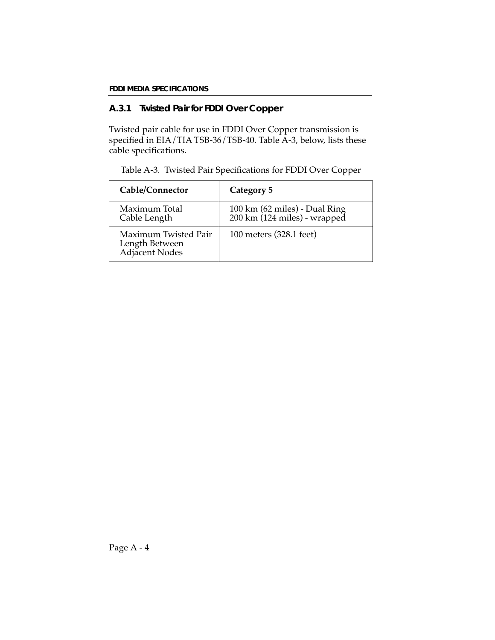### **A.3.1 Twisted Pair for FDDI Over Copper**

Twisted pair cable for use in FDDI Over Copper transmission is specified in EIA/TIA TSB-36/TSB-40. Table A-3, below, lists these cable specifications.

Table A-3. Twisted Pair Specifications for FDDI Over Copper

| Cable/Connector                                          | Category 5                                                    |
|----------------------------------------------------------|---------------------------------------------------------------|
| Maximum Total<br>Cable Length                            | 100 km (62 miles) - Dual Ring<br>200 km (124 miles) - wrapped |
| Maximum Twisted Pair<br>Length Between<br>Adjacent Nodes | 100 meters (328.1 feet)                                       |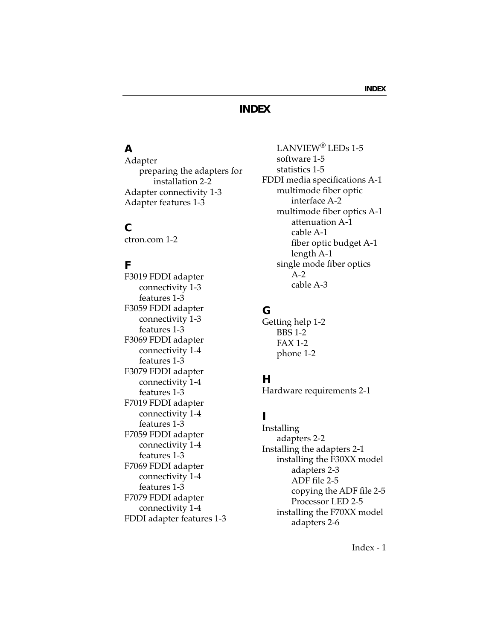## **INDEX**

# **A**

Adapter preparing the adapters for installation 2-2 Adapter connectivity 1-3 Adapter features 1-3

### **C**

ctron.com 1-2

### **F**

F3019 FDDI adapter connectivity 1-3 features 1-3 F3059 FDDI adapter connectivity 1-3 features 1-3 F3069 FDDI adapter connectivity 1-4 features 1-3 F3079 FDDI adapter connectivity 1-4 features 1-3 F7019 FDDI adapter connectivity 1-4 features 1-3 F7059 FDDI adapter connectivity 1-4 features 1-3 F7069 FDDI adapter connectivity 1-4 features 1-3 F7079 FDDI adapter connectivity 1-4 FDDI adapter features 1-3

LANVIEW® LEDs 1-5 software 1-5 statistics 1-5 FDDI media specifications A-1 multimode fiber optic interface A-2 multimode fiber optics A-1 attenuation A-1 cable A-1 fiber optic budget A-1 length A-1 single mode fiber optics A-2 cable A-3

### **G**

Getting help 1-2 BBS 1-2 FAX 1-2 phone 1-2

### **H**

Hardware requirements 2-1

## **I**

Installing adapters 2-2 Installing the adapters 2-1 installing the F30XX model adapters 2-3 ADF file 2-5 copying the ADF file 2-5 Processor LED 2-5 installing the F70XX model adapters 2-6